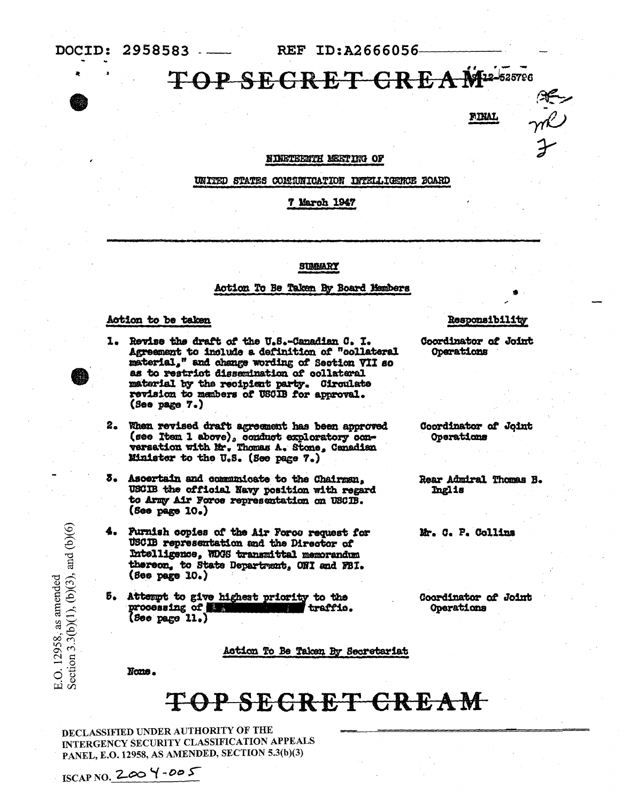REF ID:A2666056

### TOP SECRET CREAM<sup>2-525786</sup>

**FINAL** 

ally

#### NINETEENTH MEETING OF

#### UNITED STATES COMMUNICATION INTELLIGENCE BOARD

#### 7 March 1947

#### SUMMARY

#### Action To Be Taken By Board Members

#### Action to be taken

- 1. Revise the draft of the U.S.-Canadian C. I. Agreement to include a definition of "collateral material," and change wording of Section VII so as to restrict dissemination of collateral material by the recipient party. Circulate revision to manbers of USCIB for approval. (See page 7.)
- 2. When revised draft agreement has been approved (see Item 1 above), conduct exploratory con-<br>versation with Mr. Thomas A. Stone, Canadian Minister to the U.S. (See page 7.)
- Ascertain and communicate to the Chairman, 3. USCIB the official Navy position with regard to Army Air Force representation on USCIB.  $(5e<sub>e</sub> p<sub>e</sub>g<sub>e</sub> 10<sub>e</sub>)$
- Furnish copies of the Air Force request for USCIB representation and the Director of Intelligence, WDGS transmittal memorandum thereon, to State Department, ONI and FBI.  $($ See page  $10.$ )
- 5. Attempt to give highest priority to the processing of the traffic.  $($ See page  $11,$ )

Action To Be Taken By Secretariat

None.

ISCAP NO. 200  $4 - 005$ 

E.O. 12958, as amended<br>Section 3.3(b)(1), (b)(3), and (b)(6)

## TOP SECRET CREAM

DECLASSIFIED UNDER AUTHORITY OF THE INTERGENCY SECURITY CLASSIFICATION APPEALS PANEL, E.O. 12958, AS AMENDED, SECTION 5.3(b)(3)

Responsibility

Coordinator of Joint **Operations** 

Coordinator of Joint Operations

Rear Admiral Thomas B. Inglis

Mr. C. P. Collins

Coordinator of Joint Operations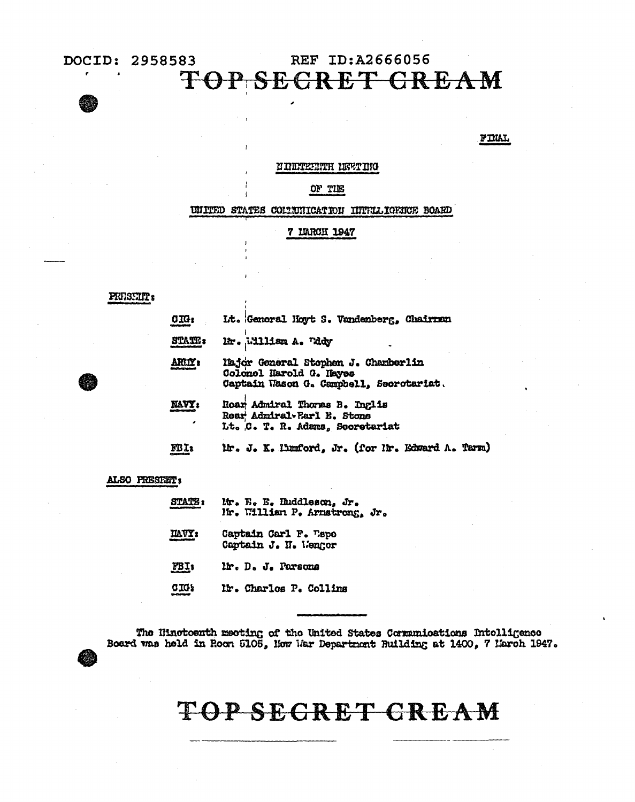### REF ID:A2666056 **TO SEGRET GREAM**

#### **FINAL**

#### N INDTEENTH NEET ING

OF TIE

UNITED STATES COLUMNICATION INTELLIGENCE BOARD

#### 7 LTARCH 1947

#### PRESTIT's

| C <sub>II</sub>   | It. General Hoyt S. Vandenberg, Chairman                                                                  |
|-------------------|-----------------------------------------------------------------------------------------------------------|
| <b>STATE:</b>     | Mr. Milliam A. Tddy                                                                                       |
| <b>ARLY :</b>     | lajor General Stephen J. Chamberlin<br>Colonel Harold G. Hayes<br>Captain Wason G. Campbell, Secrotariat. |
| <b>NAVY:</b><br>, | Roar Admiral Thomas B. Inglis<br>Rear Admiral-Barl E. Stone<br>Lt. C. T. R. Adams, Scoretariat            |
| FBI:              | Mr. J. K. Humford, Jr. (for Nr. Edward A. Tarm)                                                           |

#### ALSO PRESERT:

| <b>STATE:</b>  | Mr. E. E. Huddleson, Jr.<br>Mr. William P. Armstrong, Jr. |
|----------------|-----------------------------------------------------------|
| <b>ILAVY's</b> | Captain Carl F. Lapo<br>Captain J. II. Wenger             |
| FBI:           | lir. D. J. Parsons                                        |
| <b>CIG)</b>    | lir. Charlos P. Collins                                   |

The Hinotoenth meeting of the United States Communications Intolligence Board was held in Roon 5105, Hew Mar Department Building at 1400, 7 March 1947.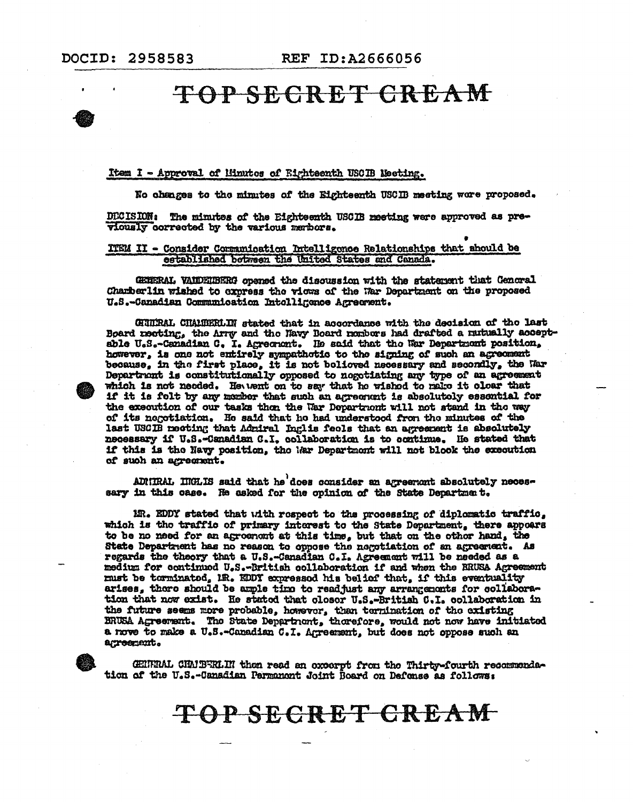#### Item I - Approval of Minutes of Rightsenth USCIB Meeting.

No changes to the minutes of the Eighteenth USCIB meeting were proposed.

DECISION: The minutes of the Eighteenth USCIB meeting were approved as previously corrected by the various membors.

#### ITEM II - Consider Communication Intelligonce Relationships that abould be established between the United States and Canada.

GENERAL VANDENBERG opened the discussion with the statement that Genoral Charberlin wished to express the views of the War Department on the proposed U.S.-Canadian Communication Intolligance Agreement.

CHUTRAL CHAMBERLIN stated that in accordance with the decision of the last Board neeting, the Arry and the Navy Board nembers had drafted a nutually acceptable U.S.-Canadian C. I. Agreement. He said that the War Department position. however, is one not entirely sympathetic to the signing of such an agreement because, in the first place, it is not believed necessary and secondly, the Mar Department is constitutionally opposed to negotiating any type of an agreement which is not needed. Hewent on to say that he wished to make it clear that if it is folt by any momber that such an agreement is absolutely essential for the execution of our tasks then the War Department will not stand in the way of its negotiation. He said that he had understood from the minutes of the last USCIB meeting that Admiral Inglis feels that an agreement is absolutely necessary if U.S.-Canadian C.I. collaboration is to ocntinue. He stated that if this is the Navy position, the Mar Department will not blook the execution of such an agreement.

ADMIRAL IMHLIS said that he does consider an agreement absolutely necessary in this case. He asked for the opinion of the State Department.

MR. EDDY stated that with respect to the processing of diplomatic traffic, which is the traffic of primary interest to the State Department, there appears to be no need for an agroement at this time, but that on the other hand, the State Department has no reason to oppose the negotiation of an agreement. As regards the theory that a U.S.-Canadian C.I. Agreement will be needed as a medium for continued U.S.-British collaboration if and when the BRUSA Agreement must be torminated, IR. EDDY expressed his belief that, if this eventuality arises, there should be ample time to readjust any arrangements for collaboration that now exist. He stated that closer U.S.-British C.I. collaboration in the future seems more probable, however, than termination of the existing BRUSA Agreement. The State Department, therefore, would not now have initiated a nove to make a U.S.-Canadian C.I. Agreement, but does not oppose such an agreement.

GENERAL CHAIBERLIN then read an excerpt from the Thirty-fourth recommendation of the U.S.-Canadian Permanont Joint Board on Defense as follows: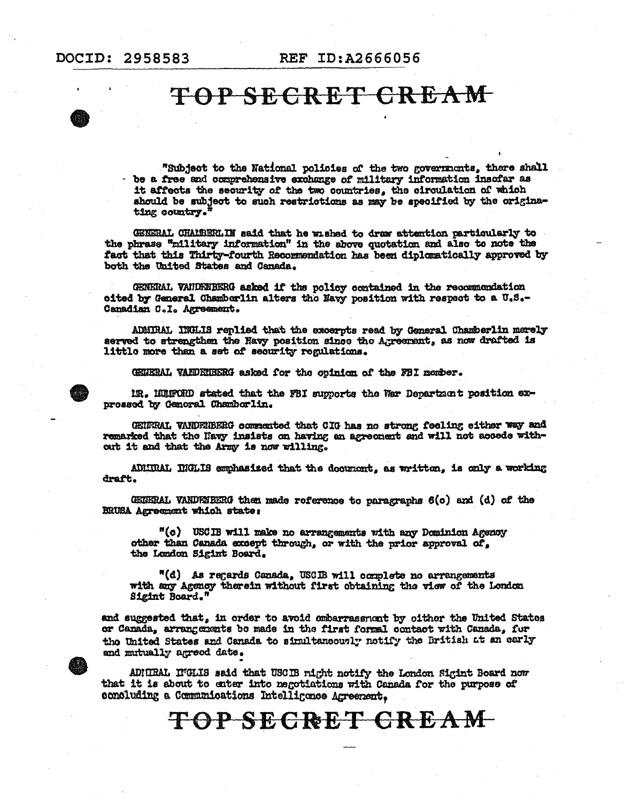"Subject to the National policies of the two governments, there shall - be a free and comprehensive exchange of military information insofar as it affects the security of the two countries, the circulation of which should be subject to such restrictions as may be specified by the originating country."

GENERAL CHALBERLIN said that he wished to draw attention particularly to the phrase "military information" in the above quotation and also to note the fact that this Thirty-fourth Recommendation has been diplomatically approved by both the United States and Canada.

GENERAL VANDENBERG asked if the policy contained in the recommondation oited by General Chamberlin alters the Navy position with respect to a U.S.-Canadian C.I. Agreement.

ADMIRAL INCLIS replied that the excerpts read by General Chamberlin merely served to strengthen the Havy position since the Agreement, as now drafted is little more than a set of security regulations.

GEUERAL VANDEUBERG asked for the opinion of the FBI member.



IR. HUIFORD stated that the FBI supports the War Department position exprossed by Genoral Chamberlin.

GENTRAL VANDENBERG commented that CIG has no strong feeling either way and remarked that the Havy insists on having an agreement and will not accede without it and that the Army is now willing.

ADMIRAL INGLIS emphasised that the document, as written, is only a working draft.

GENERAL VANDENBERG then made reference to paragraphs  $6(c)$  and  $(d)$  of the BRUSA Agreement which state:

"(c) USCIB will make no arrangements with any Dominion Agency other than Canada except through, or with the prior approval of, the London Sigint Board.

"(d) As regards Canada, USCIB will complete no arrangements with any Agency therein without first obtaining the view of the London Sigint Board."

and suggested that, in order to avoid ombarrassment by oither the United States or Canada, arrangements be made in the first formal contact with Canada, for the United States and Canada to simultaneously notify the British at an carly and mutually agreed date.

ADHIRAL INGLIS said that USCIB might notify the London Sigint Board now that it is about to enter into negotiations with Canada for the purpose of concluding a Communications Intelligence Agreement.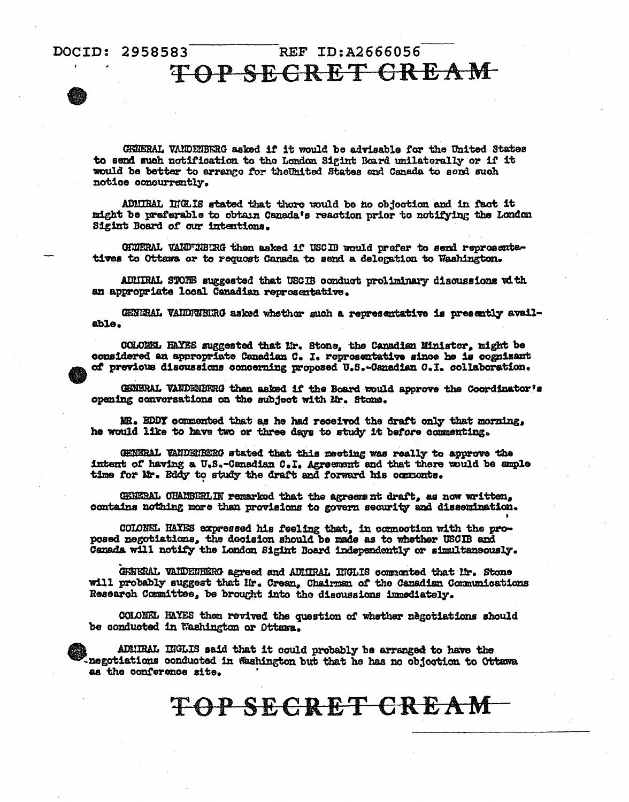### REF  $ID: A2666056$ TOP SECRET GREAM

GHNERAL VANDENBERG asked if it would be advisable for the United States to send such notification to the London Sigint Board unilaterally or if it would be better to arrange for the United States and Canada to send such notice concurrently.

ADMIRAL INCLIS stated that there would be no objection and in fact it might be preferable to obtain Canada's reaction prior to notifying the London Sigint Board of our intentions.

GHUERAL VAND'IBURG then asked if USCIB would profer to send reprosentetives to Ottawa or to request Canada to send a delegation to Washington.

ADMIRAL STORE suggested that USCIB conduct proliminary discussions with an appropriate local Canadian reprosentative.

GENERAL VAIDFNEIRG asked whethor such a representative is presently available.

COLONEL HAYES suggested that Mr. Stone, the Canadian Minister, might be considered an appropriate Canadian C. I. reprosentative since he is cognizant of previous discussions concerning proposed U.S.-Canadian C.I. collaboration.

GENERAL VANDENBERG then asked if the Board would approve the Coordinator's opening conversations on the subject with Mr. Stone.

MR. EDDY commented that as he had received the draft only that morning, he would like to have two or three days to study it before commenting.

GENERAL VANDERBERG stated that this meeting was really to approve the intent of having a U.S.-Canadian C.I. Agreement and that there would be ample time for Mr. Eddy to study the draft and forward his commonts.

GENERAL CHAIBERLIN remarked that the agreement draft, as now written, contains nothing more than provisions to govern security and dissemination.

COLONEL HAYES expressed his feeling that, in connection with the proposed negotiations, the docision should be made as to whether USCIB and Canada will notify the London Sigint Board independently or simultaneously.

GREERAL VAIDERERG agreed and ADIIRAL INGLIS commarted that lir. Stone will probably suggest that Mr. Crean, Chairman of the Canadian Comunications Research Committee, be brought into the discussions immediately.

COLONEL HAYES then revived the question of whether negotiations should be conducted in Washington or Ottawa.

ADMIRAL INGLIS said that it could probably be arranged to have the negotiations conducted in Washington but that he has no objection to Ottawa as the conference site.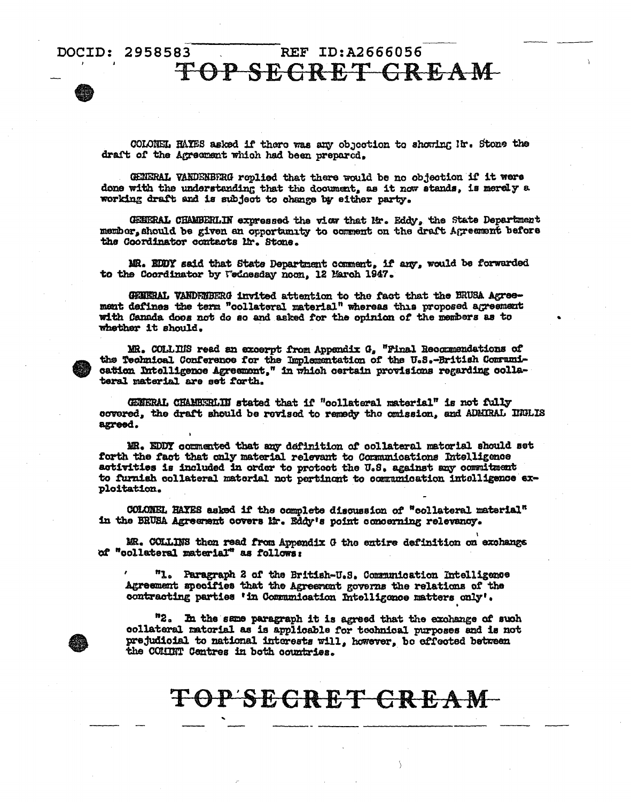#### REF ID:A2666056 DOCID: 2958583 TOP SECRET GREAM

COLONEL HAYES asked if there was any objection to showing Ir. Stone the draft of the Agreement which had been prepared.

GENERAL VANDENBFRG roplied that there would be no objection if it were done with the understanding that the document, as it now stands, is merely a working draft and is subject to change by either party.

GENERAL CHAMBERLIN expressed the view that Mr. Eddy, the State Department member, should be given an opportunity to comment on the draft Agreement before the Coordinator contacts lir. Stone.

MR. EDDY said that State Department comment, if any, would be forwarded to the Coordinator by Wednesday noon, 12 March 1947.

GENERAL VANDEMBERG invited attention to the fact that the BRUSA Agreement defines the term "collateral material" whereas this proposed agreement with Canada does not do so and asked for the opinion of the members as to whether it should.

MR. COLLIUS read an excerpt from Appendix G, "Final Recommendations of the Technical Conference for the Implementation of the U.S.-British Communication Intelligence Agreement," in which certain provisions regarding collateral material are set forth.

GENERAL CHAMBERLIN stated that if "collateral material" is not fully covered, the draft should be rovised to remedy the omission, and ADMIRAL INGLIS agreed.

MR. EDDY commented that any definition of collateral matorial should set forth the fact that only material relevant to Communications Intelligence activities is included in order to protect the U.S. against any commitment to furnish collateral material not pertinent to communication intelligence exploitation.

COLONEL HAYES asked if the complete discussion of "collateral material" in the BRUSA Agreement covers Mr. Eddy's point concerning relevancy.

MR. COLLINS then read from Appendix G the entire definition on exchange of "collateral material" as follows:

"1. Paragraph 2 of the British-U.S. Communication Intelligence Agreement specifies that the Agreement governs the relations of the contracting parties 'in Communication Intelligence matters only'.

"2. In the same paragraph it is agreed that the exchange of such collateral matorial as is applicable for technical purposes and is not prejudicial to national interests will, however, be effected between the COHINT Centres in both countries.

### TOP'SECRET GREAM-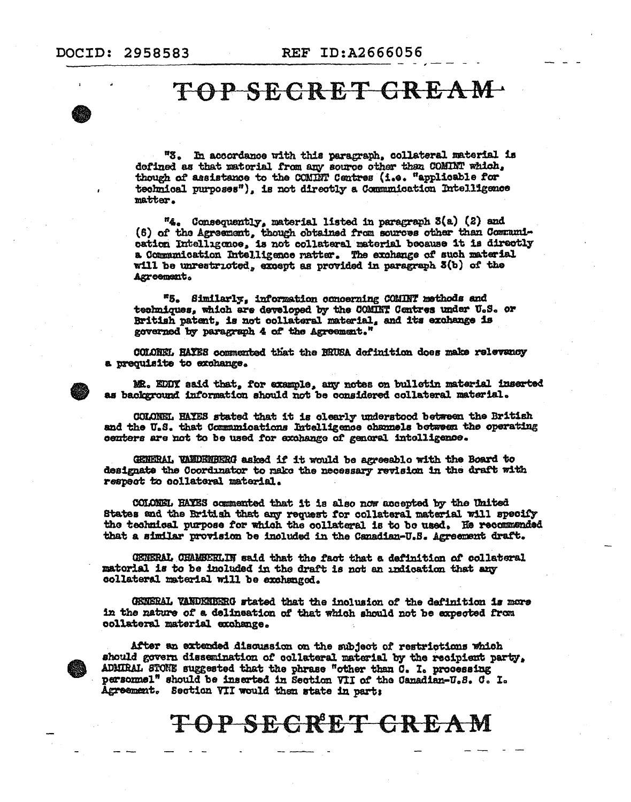"3. In accordance with this paragraph, collateral material is defined as that material from any source other than COMINT which, though of assistance to the COMINT Centres (i.e. "applicable for technical purposes"), is not directly a Communication Intelligence matter.

"4. Consequently, material listed in paragraph 3(a) (2) and (6) of the Agreement, though obtained from sources other than Communication Intelligence, is not collateral material because it is directly a Communication Intelligence natter. The exchange of such material will be unrestricted, except as provided in paragraph 3(b) of the Agreement.

"5. Similarly, information concerning COMINT methods and techniques, which are developed by the COMINT Centres under U.S. or British patent, is not collateral material, and its exchange is governed by paragraph 4 of the Agreement."

COLOREL HAYES commented that the BRUSA definition does make relevancy a prequisite to exchange.

MR. EDDY said that, for example, any notes on bulletin material inserted as background information should not be considered collateral material.

COLONEL HAYES stated that it is clearly understood between the British and the U.S. that Communications Intelligence channels between the operating centers are not to be used for exchange of general intelligence.

GENERAL VANDENBERG asked if it would be agreeablo with the Board to designate the Coordinator to make the necessary revision in the draft with respect to collateral material.

COLONEL HAYES commented that it is also now accepted by the United States and the British that any request for collateral material will specify the technical purpose for which the collateral is to be used. He recommended that a similar provision be included in the Canadian-U.S. Agreement draft.

GENERAL CHAMBERLIN said that the fact that a definition of collateral matorial is to be included in the draft is not an indication that any collateral material will be exchanged.

GENERAL VANDENBERG stated that the inclusion of the definition is more in the nature of a delineation of that which should not be expected from collateral material exchange.

After an extended discussion on the subject of restrictions which should govern dissemination of collateral material by the recipient party, ADMIRAL STONE suggested that the phrase "other than C. I. processing personnel" should be inserted in Section VII of the Canadian-U.S. C. I. Agreement. Section VII would then state in part: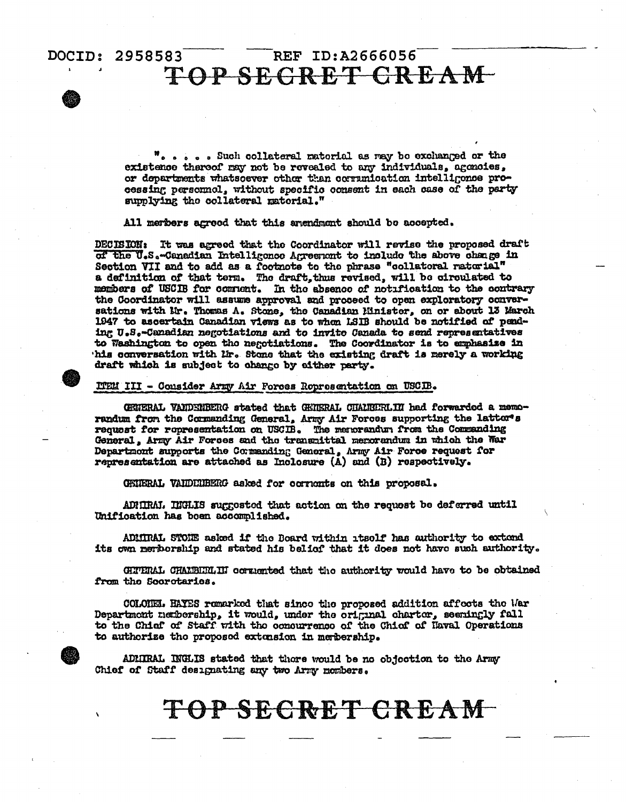#### REF ID:A2666056 DOCID: 2958583 TOP SECRET CREAM-

". . . . Such collateral material as may be exchanged or the existence thereof may not be revealed to any individuals, agencies, or departments whatsoever other than communication intelligence processing personnel, without specific consent in each case of the party supplying the collateral material."

All members agreed that this arendment should be accepted.

DECISION: It was agreed that the Coordinator will revise the proposed draft of the U.S.-Canadian Intelligence Agreement to include the above change in Section VII and to add as a footnote to the phrase "collatoral raturial" a definition of that term. The draft, thus revised, will be circulated to members of USCIB for comment. In the absence of notification to the contrary the Coordinator will assume approval and proceed to open exploratory conversations with Mr. Thomas A. Stone, the Canadian Minister, on or about 13 March 1947 to ascertain Canadian views as to when LSIB should be notified of pending U.S.-Canadian negotiations and to invite Canada to send representatives to Washington to open the negotiations. The Coordinator is to emphasize in his conversation with Mr. Stone that the existing draft is merely a working draft which is subject to change by either party.

ITEM III - Consider Army Air Forces Ropresentation on USCIB.

GENERAL VANDENBERG stated that GENERAL CHAIRERLIN had forwarded a memorandum from the Commanding General, Army Air Forces supporting the lattor's request for representation on USCIB. The memorandum from the Commanding General, Army Air Forces and the transmittal menorandum in which the War Department supports the Commanding General, Army Air Force request for representation are attached as Inclosure (A) and (B) respectively.

GRIERAL VAIDEDERG asked for cornonts on this proposal.

ADMIRM. INGLIS suggested that action on the request be deferred until Unification has been accomplished.

ADMIRAL STONE asked if the Board within itsolf has authority to extend its own nerborship and stated his belief that it does not have such authority.

GHTERAL CHALBHRLII cornented that the authority would have to be obtained from the Secretaries.

COLONEL HAYES remarked that since the proposed addition affects the War Department netbership, it would, under the original charter, seemingly fall to the Chief of Staff with the concurrence of the Chief of Haval Operations to authorize tho proposed extension in membership.

ADMIRAL INGLIS stated that thore would be no objection to the Army Chief of Staff designating any two Army mombers.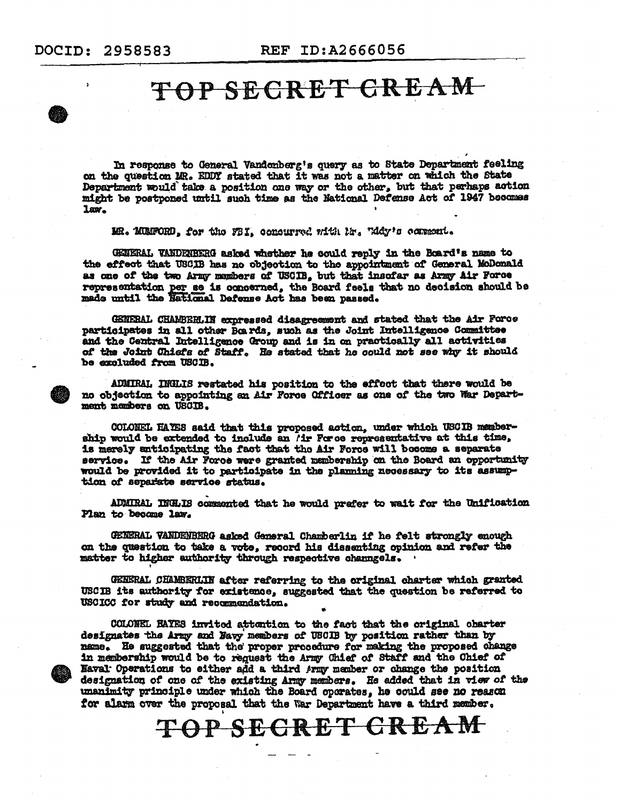In response to General Vandenberg's query as to State Department feeling on the question MR. EDDY stated that it was not a matter on which the State Department would take a position one way or the other, but that perhaps action might be postponed until such time as the National Defense Act of 1947 becomes law.

MR. MUNFORD, for the FBI, consurred with Mr. Widy's comment.

GENERAL VANDENBERG asked whether he could reply in the Board's name to the effect that USCIB has no objection to the appointment of General MoDonald as one of the two Army members of USCIB, but that insofar as Army Air Force representation per se is concerned, the Board feels that no decision should be made until the National Defense Act has been passed.

GENERAL CHAMBERLIN expressed disagreement and stated that the Air Force participates in all other Boards, such as the Joint Intelligence Committee and the Central Intelligence Group and is in on practically all activities of the Joint Chiefs of Staff. He stated that he could not see why it should be excluded from USCIB.

ADMIRAL INGLIS restated his position to the effoot that there would be no objection to appointing an Air Force Officer as one of the two War Department members on USCIB.

COLONEL HAVES said that this proposed action, under which USCIB membership would be extended to include an *i*ir Force representative at this time, is merely anticipating the fact that the Air Force will become a separate service. If the Air Force were granted membership on the Board an opportunity would be provided it to participate in the planning necessary to its assumption of separate service status.

ADMIRAL INGLIS commented that he would prefer to wait for the Unification Plan to become law.

GENERAL VANDENBERG asked General Chamberlin if he felt strongly enough on the question to take a vote, record his dissenting opinion and refer the matter to higher authority through respective channgels.

GENERAL CHAMBERLIN after referring to the original charter which granted USCIB its authority for existence, suggested that the question be referred to USCICC for study and recommendation.

COLONEL HAYES invited attention to the fact that the original obarter designates the Army and Navy members of USCIB by position rather than by name. He suggested that the proper procedure for making the proposed change in membership would be to request the Army Chief of Staff and the Chief of Naval Operations to either add a third Army member or change the position designation of one of the existing Army members. He added that in view of the unanimity principle under which the Board operates, he could see no reason for alarm over the proposal that the War Department have a third member.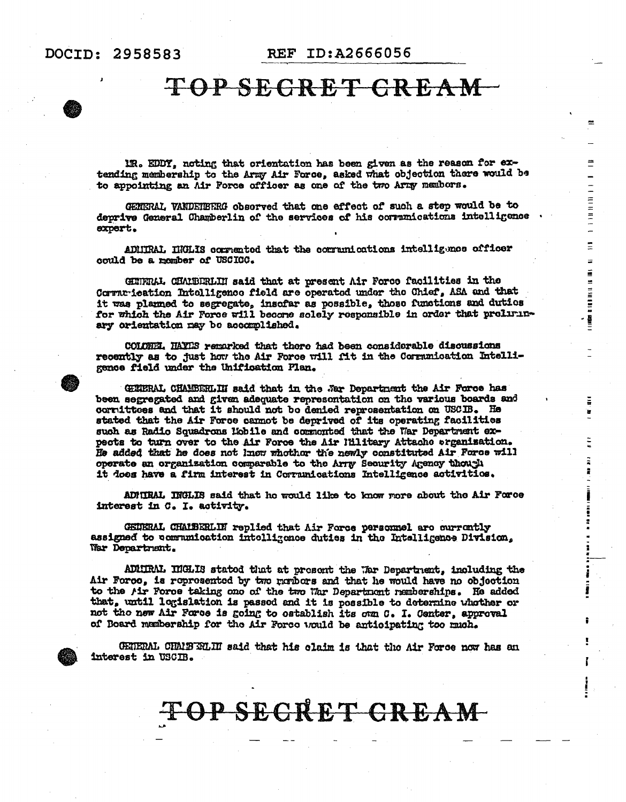ms

 $\equiv$ 

 $\overline{\phantom{0}}$  $\equiv$ 

 $11111111$ 

 $\equiv$ 

 $\equiv$ 

**A 189 B1 U 189 B1** 

Ξ

### TOP SECRET CREAM

IR. EDDY, noting that orientation has been given as the reason for extending membership to the Army Air Force, asked what objection there would be to appointing an Air Force officer as one of the two Army nembors.

GENERAL VANDERERG observed that one effect of such a step would be to deprive General Chamberlin of the services of his communications intelligence expert.

ADMITRAL INCLIS commented that the communications intelligence officer could be a nember of USCICC.

GETERAL CHAMBERLIN said that at present Air Force facilities in the Commu-ieation Intelligence field are operated under the Chief, ASA and that it was planned to segregate, insofar as possible, those functions and duties for which the Air Force will become solely responsible in order that preliminary orientation may be accomplished.

COLOREI. HAYES remarked that there had been considerable discussions recently as to just how the Air Force will fit in the Communication Intelligence field under the Unification Plan.

GENERAL CHAMBERLIN said that in the Sar Department the Air Force has been segregated and given adequate represontation on the various boards and corrittees and that it should not be denied representation on USCIB. He stated that the Air Force cannot be deprived of its operating facilities such as Radio Squadrons Mobile and commonted that the War Department expects to turn over to the Air Force the Air l'Hlitary Attache organization. He added that he does not know whother the newly constituted Air Force will operate an organization comparable to the Arry Security Agency though it does have a firm interest in Corranications Intelligence activities.

ADMIRAL INGLIS said that he would like to know more about the Air Force interest in C. I. activity.

GEINERAL CHAIBERLIN replied that Air Force personnel are currently assigned to communication intelligence duties in the Intelligence Division, War Department.

ADMIRAL INGLIS stated that at present the Lar Department, including the Air Force, is represented by two members and that he would have no objection to the *Air* Force taking one of the two War Department remberships. He added that, until logislation is passed and it is possible to deternine whother or not the new Air Force is going to establish its own C. I. Center, approval of Board manbership for the Air Force would be anticipating too much.

GETERAL CHAIFELHI said that his claim is that the Air Force now has an interest in USCIB.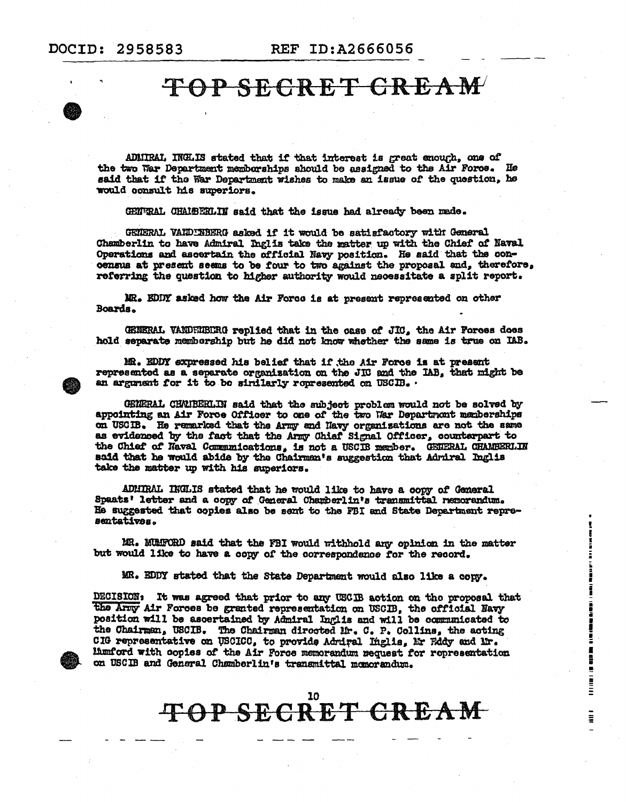### TOP SECRET CREAM

ADMIRAL INCLIS stated that if that interest is great enough, one of the two War Department memberships should be assigned to the Air Force. He said that if the War Department wishes to make an issue of the question, he would consult his superiors.

GENURAL CHALBERLIN said that the issue had already been made.

GENERAL VANDINBERG asked if it would be satisfactory with General Chamberlin to have Admiral Inglis take the matter up with the Chief of Naval Operations and ascertain the official Navy position. He said that the concensus at present seems to be four to two against the proposal and, therefore, referring the question to higher authority would necessitate a split report.

MR. EDDY asked how the Air Force is at present represented on other Boards.

GENERAL VANDELIBERG replied that in the case of JIC, the Air Forces does hold separate membership but he did not know whether the same is true on IAB.

MR. EDDY expressed his belief that if the Air Force is at present represented as a separate organization on the JIC and the IAB, that might be an argument for it to be similarly represented on USCIB.

GENERAL CHANEERLIN said that the subject problem would not be solved by appointing an Air Force Officer to one of the two War Department memberships on USCIB. He remarked that the Army and Navy organizations are not the same as evidenced by the fact that the Army Chief Signal Officer, counterpart to the Chief of Naval Communications, is not a USCIB member. GENERAL CHAMBERLIN said that he would abide by the Chairman's suggestion that Admiral Inglis take the matter up with his superiors.

ADMIRAL INGLIS stated that he would like to have a copy of General Spaats' letter and a copy of General Chamberlin's transmittal nemorandum. He suggested that copies also be sent to the FBI and State Department representatives.

MR. MUMFORD said that the FBI would withhold any opinion in the matter but would like to have a copy of the correspondence for the record.

MR. EDDY stated that the State Department would also like a copy.

DECISION: It was agreed that prior to any USCIB action on the proposal that the Army Air Forces be granted representation on USCIB. the official Navy position will be ascertained by Admiral Inglis and will be communicated to the Chairman, USCIB. The Chairman directed Mr. C. P. Collins, the acting CIG representative on USCICC, to provide Admiral Inglis, Mr Eddy and Mr. liumford with copies of the Air Force memorandum request for representation on USCIB and General Chamberlin's transmittal momorandum.

電話 ・ 語彙

į

İ

 $\blacksquare$ 

**THE REAL PROPERTY** 

 $\frac{1}{2}$ 

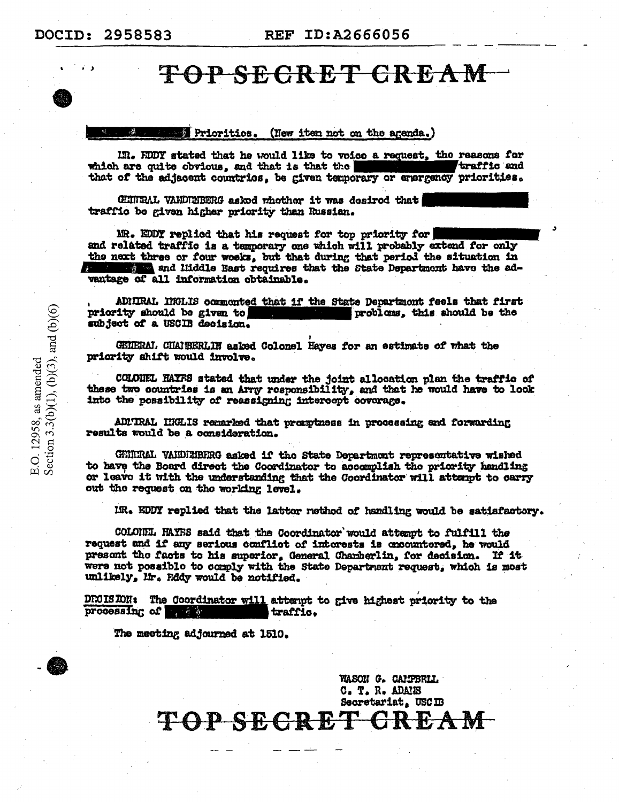#### Priorities. (New item not on the agenda.)

IN. KODY stated that he would like to voice a request, the reasons for traffic and which are quite obvious, and that is that the that of the adjacent countries, be given temporary or energency priorities.

GHITRAL VANDIBERG askod whother it was desired that traffic be given higher priority than Russian.

MR. EDDY replied that his request for top priority for and related traffic is a temporary one which will probably extend for only the next three or four works, but that during that period the situation in and liiddle East requires that the State Department have the advantage of all information obtainable.

ADNIRAL, INGLIS commonted that if the State Department feels that first priority should be given to probloms, this should be the subject of a USCIB decision.

GEIERAL CHAIRERLIN asked Colonel Hayes for an estimate of what the priority shift would involve.

COLONEL HAYFS stated that under the joint allocation plan the traffic of these two countries is an Arry responsibility, and that he would have to look into the possibility of reassigning intercept coverage.

ADMTRAL HIGLIS remarked that promptness in processing and forwarding results would be a consideration.

GENERAL VALDERERRG asked if the State Department representative wished to have the Board direct the Coordinator to accomplish the priority handling or leave it with the understanding that the Coordinator will attempt to carry out the request on the working level.

MR. EDDY replied that the lattor rethod of handling would be satisfactory.

COLONEL HAYES said that the Coordinator would attempt to fulfill the request and if any serious conflict of interests is encountered, he would present the facts to his superior, General Charberlin, for decision. If it were not possible to comply with the State Department request, which is most unlikely, Mr. Eddy would be notified.

DECISION: The Coordinator will attempt to give highest priority to the processing of the state traffic.

The meeting adjourned at 1510.

WASON G. CAMPBRIL C. T. R. ADAIES Secretariat, USCIB TOP SECRET CR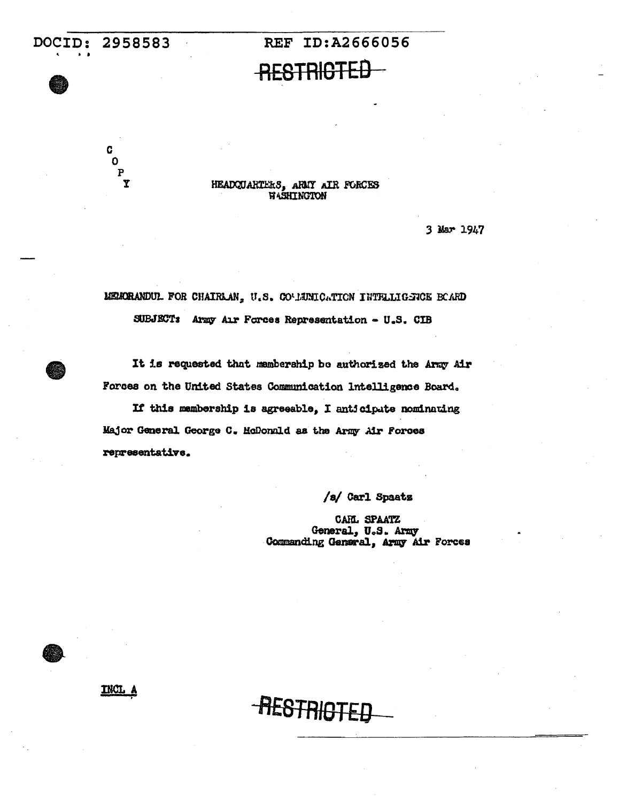C Ō  $\mathbf{P}$ 

# **RESTRIGTED**

REF ID:A2666056

HEADQUARTERS, ARMY AIR FORCES **WASHINGTON** 

3 Mar 1947

MEMORANDUL FOR CHAIRLAN, U.S. COVIENICATION INTRILIGENCE BOARD

SUBJECT: Army Air Forces Representation - U.S. CIB

It is requested that membership be authorized the Army Air Forces on the United States Communication Intelligence Board.

If this membership is agreeable, I anticipate nominating Major General George C. McDonuld as the Army Air Forces representative.

**-RESTRIGTEE** 

/s/ Carl Spaats

CARL SPAATZ General, U.S. Army Commanding General, Army Air Forces

**INCL**